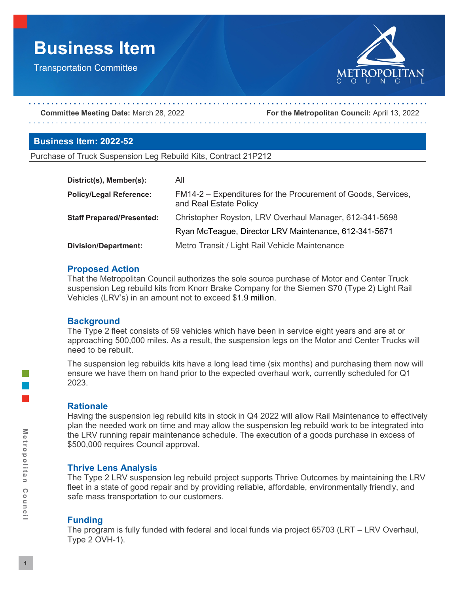# **Business Item**

Transportation Committee



**Committee Meeting Date:** March 28, 2022 **For the Metropolitan Council:** April 13, 2022

#### **Business Item: 2022-52**

Purchase of Truck Suspension Leg Rebuild Kits, Contract 21P212

| District(s), Member(s):          | All                                                                                     |
|----------------------------------|-----------------------------------------------------------------------------------------|
| <b>Policy/Legal Reference:</b>   | FM14-2 – Expenditures for the Procurement of Goods, Services,<br>and Real Estate Policy |
| <b>Staff Prepared/Presented:</b> | Christopher Royston, LRV Overhaul Manager, 612-341-5698                                 |
|                                  | Ryan McTeague, Director LRV Maintenance, 612-341-5671                                   |
| <b>Division/Department:</b>      | Metro Transit / Light Rail Vehicle Maintenance                                          |

#### **Proposed Action**

That the Metropolitan Council authorizes the sole source purchase of Motor and Center Truck suspension Leg rebuild kits from Knorr Brake Company for the Siemen S70 (Type 2) Light Rail Vehicles (LRV's) in an amount not to exceed \$1.9 million.

#### **Background**

The Type 2 fleet consists of 59 vehicles which have been in service eight years and are at or approaching 500,000 miles. As a result, the suspension legs on the Motor and Center Trucks will need to be rebuilt.

The suspension leg rebuilds kits have a long lead time (six months) and purchasing them now will ensure we have them on hand prior to the expected overhaul work, currently scheduled for Q1 2023.

## **Rationale**

Having the suspension leg rebuild kits in stock in Q4 2022 will allow Rail Maintenance to effectively plan the needed work on time and may allow the suspension leg rebuild work to be integrated into the LRV running repair maintenance schedule. The execution of a goods purchase in excess of \$500,000 requires Council approval.

## **Thrive Lens Analysis**

The Type 2 LRV suspension leg rebuild project supports Thrive Outcomes by maintaining the LRV fleet in a state of good repair and by providing reliable, affordable, environmentally friendly, and safe mass transportation to our customers.

## **Funding**

The program is fully funded with federal and local funds via project 65703 (LRT – LRV Overhaul, Type 2 OVH-1).